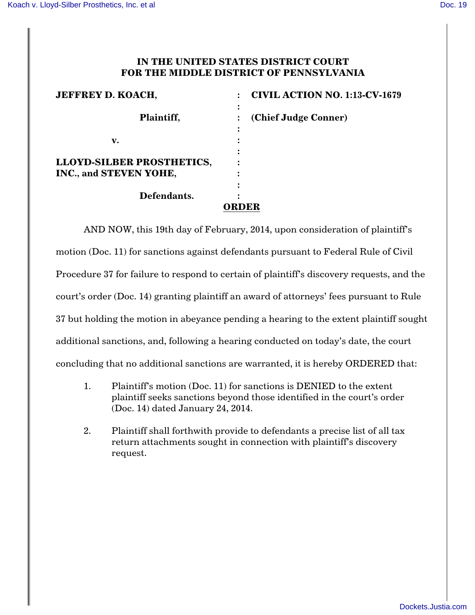## **IN THE UNITED STATES DISTRICT COURT FOR THE MIDDLE DISTRICT OF PENNSYLVANIA**

| <b>JEFFREY D. KOACH,</b>         | <b>CIVIL ACTION NO. 1:13-CV-1679</b> |
|----------------------------------|--------------------------------------|
| Plaintiff,                       | (Chief Judge Conner)                 |
| v.                               |                                      |
| <b>LLOYD-SILBER PROSTHETICS,</b> |                                      |
| INC., and STEVEN YOHE,           |                                      |
| Defendants.                      |                                      |
|                                  | <b>ORDER</b>                         |

AND NOW, this 19th day of February, 2014, upon consideration of plaintiff's motion (Doc. 11) for sanctions against defendants pursuant to Federal Rule of Civil Procedure 37 for failure to respond to certain of plaintiff's discovery requests, and the court's order (Doc. 14) granting plaintiff an award of attorneys' fees pursuant to Rule 37 but holding the motion in abeyance pending a hearing to the extent plaintiff sought additional sanctions, and, following a hearing conducted on today's date, the court concluding that no additional sanctions are warranted, it is hereby ORDERED that:

- 1. Plaintiff's motion (Doc. 11) for sanctions is DENIED to the extent plaintiff seeks sanctions beyond those identified in the court's order (Doc. 14) dated January 24, 2014.
- 2. Plaintiff shall forthwith provide to defendants a precise list of all tax return attachments sought in connection with plaintiff's discovery request.